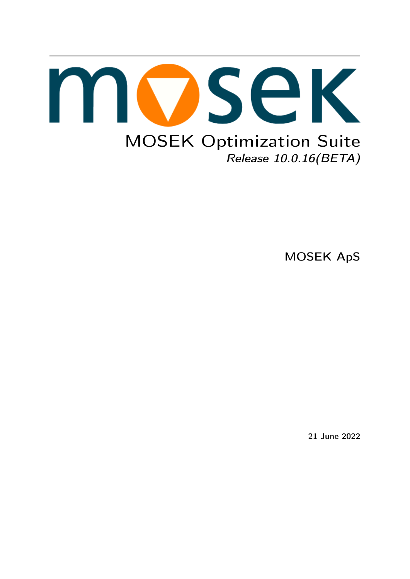

MOSEK ApS

21 June 2022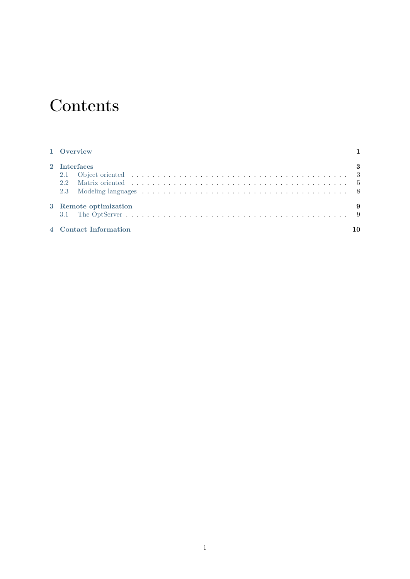# **Contents**

| 1 Overview            |     |
|-----------------------|-----|
| 2 Interfaces          | - 3 |
|                       |     |
|                       |     |
|                       |     |
| 3 Remote optimization | -9  |
|                       |     |
| 4 Contact Information | 10  |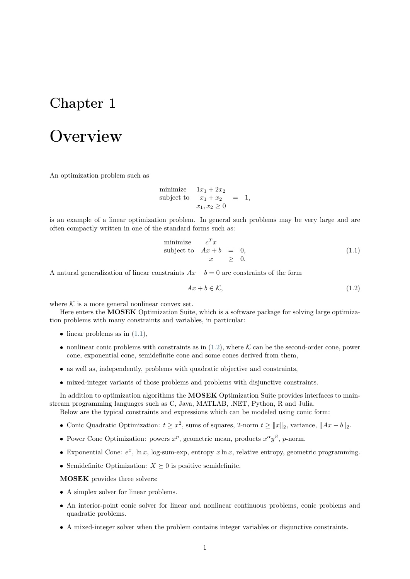### <span id="page-2-0"></span>**Overview**

An optimization problem such as

minimize  $1x_1 + 2x_2$ subject to  $x_1 + x_2 = 1$ ,  $x_1, x_2 \geq 0$ 

is an example of a linear optimization problem. In general such problems may be very large and are often compactly written in one of the standard forms such as:

minimize 
$$
c^T x
$$
  
subject to  $Ax + b = 0$ ,  
 $x \geq 0$ . (1.1)

<span id="page-2-2"></span><span id="page-2-1"></span>A natural generalization of linear constraints  $Ax + b = 0$  are constraints of the form

$$
Ax + b \in \mathcal{K},\tag{1.2}
$$

where  $K$  is a more general nonlinear convex set.

Here enters the **MOSEK** Optimization Suite, which is a software package for solving large optimization problems with many constraints and variables, in particular:

- linear problems as in  $(1.1)$ ,
- nonlinear conic problems with constraints as in  $(1.2)$ , where K can be the second-order cone, power cone, exponential cone, semidefinite cone and some cones derived from them,
- as well as, independently, problems with quadratic objective and constraints,
- mixed-integer variants of those problems and problems with disjunctive constraints.

In addition to optimization algorithms the **MOSEK** Optimization Suite provides interfaces to mainstream programming languages such as C, Java, MATLAB, .NET, Python, R and Julia.

Below are the typical constraints and expressions which can be modeled using conic form:

- Conic Quadratic Optimization:  $t \geq x^2$ , sums of squares, 2-norm  $t \geq ||x||_2$ , variance,  $||Ax b||_2$ .
- Power Cone Optimization: powers  $x^p$ , geometric mean, products  $x^{\alpha}y^{\beta}$ , p-norm.
- Exponential Cone:  $e^x$ ,  $\ln x$ , log-sum-exp, entropy  $x \ln x$ , relative entropy, geometric programming.
- Semidefinite Optimization:  $X \succeq 0$  is positive semidefinite.

MOSEK provides three solvers:

- A simplex solver for linear problems.
- An interior-point conic solver for linear and nonlinear continuous problems, conic problems and quadratic problems.
- A mixed-integer solver when the problem contains integer variables or disjunctive constraints.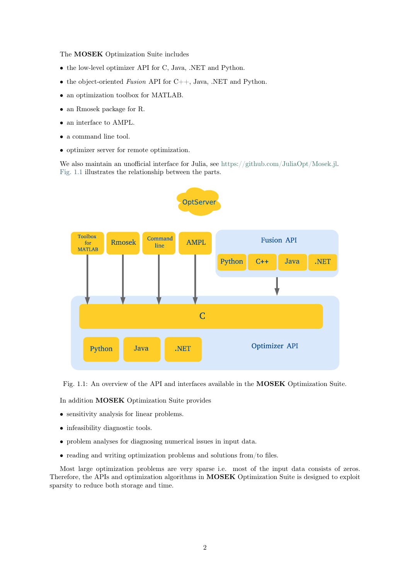The MOSEK Optimization Suite includes

- the low-level optimizer API for C, Java, .NET and Python.
- the object-oriented Fusion API for  $C_{++}$ , Java, .NET and Python.
- an optimization toolbox for MATLAB.
- an Rmosek package for R.
- an interface to AMPL.
- a command line tool.
- optimizer server for remote optimization.

We also maintain an unofficial interface for Julia, see [https://github.com/JuliaOpt/Mosek.jl.](https://github.com/JuliaOpt/Mosek.jl) [Fig.](#page-3-0) [1.1](#page-3-0) illustrates the relationship between the parts.

<span id="page-3-0"></span>

Fig. 1.1: An overview of the API and interfaces available in the MOSEK Optimization Suite.

In addition MOSEK Optimization Suite provides

- sensitivity analysis for linear problems.
- infeasibility diagnostic tools.
- problem analyses for diagnosing numerical issues in input data.
- reading and writing optimization problems and solutions from/to files.

Most large optimization problems are very sparse i.e. most of the input data consists of zeros. Therefore, the APIs and optimization algorithms in MOSEK Optimization Suite is designed to exploit sparsity to reduce both storage and time.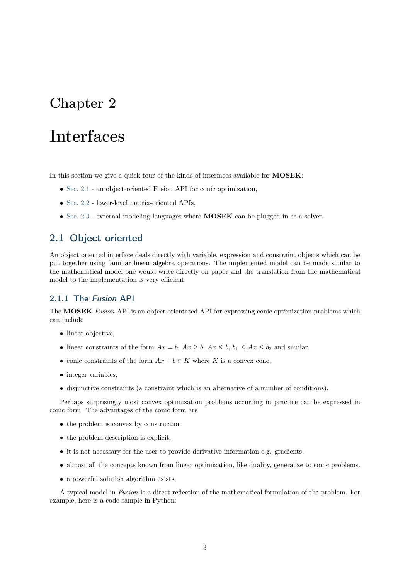## <span id="page-4-0"></span>Interfaces

In this section we give a quick tour of the kinds of interfaces available for **MOSEK**:

- [Sec.](#page-4-1) [2.1](#page-4-1) an object-oriented Fusion API for conic optimization,
- [Sec.](#page-6-0) [2.2](#page-6-0) lower-level matrix-oriented APIs,
- [Sec.](#page-9-0) [2.3](#page-9-0) external modeling languages where **MOSEK** can be plugged in as a solver.

#### <span id="page-4-1"></span>2.1 Object oriented

An object oriented interface deals directly with variable, expression and constraint objects which can be put together using familiar linear algebra operations. The implemented model can be made similar to the mathematical model one would write directly on paper and the translation from the mathematical model to the implementation is very efficient.

#### 2.1.1 The Fusion API

The MOSEK Fusion API is an object orientated API for expressing conic optimization problems which can include

- linear objective,
- linear constraints of the form  $Ax = b$ ,  $Ax \geq b$ ,  $Ax \leq b$ ,  $b_1 \leq Ax \leq b_2$  and similar,
- conic constraints of the form  $Ax + b \in K$  where K is a convex cone,
- integer variables,
- disjunctive constraints (a constraint which is an alternative of a number of conditions).

Perhaps surprisingly most convex optimization problems occurring in practice can be expressed in conic form. The advantages of the conic form are

- the problem is convex by construction.
- the problem description is explicit.
- it is not necessary for the user to provide derivative information e.g. gradients.
- almost all the concepts known from linear optimization, like duality, generalize to conic problems.
- a powerful solution algorithm exists.

A typical model in Fusion is a direct reflection of the mathematical formulation of the problem. For example, here is a code sample in Python: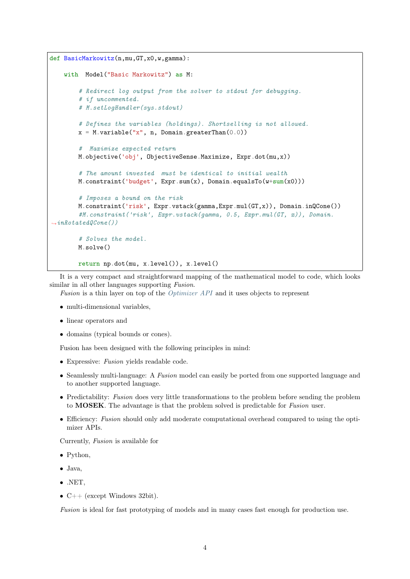```
def BasicMarkowitz(n,mu,GT,x0,w,gamma):
   with Model("Basic Markowitz") as M:
        # Redirect log output from the solver to stdout for debugging.
        # if uncommented.
        # M.setLogHandler(sys.stdout)
        # Defines the variables (holdings). Shortselling is not allowed.
        x = M.\text{variable}("x", n, Domain.\text{greater}Than(0.0))# Maximize expected return
        M.objective('obj', ObjectiveSense.Maximize, Expr.dot(mu,x))
        # The amount invested must be identical to initial wealth
        M.constraint('budget', Expr.sum(x), Domain.equalsTo(w+sum(x0)))
        # Imposes a bound on the risk
        M.constraint('risk', Expr.vstack(gamma,Expr.mul(GT,x)), Domain.inQCone())
        #M.constraint('risk', Expr.vstack(gamma, 0.5, Expr.mul(GT, x)), Domain.
\rightarrowinRotatedQCone())
        # Solves the model.
        M.solve()
        return np.dot(mu, x.level()), x.level()
```
It is a very compact and straightforward mapping of the mathematical model to code, which looks similar in all other languages supporting *Fusion*.

Fusion is a thin layer on top of the [Optimizer API](#page-6-1) and it uses objects to represent

- multi-dimensional variables.
- linear operators and
- domains (typical bounds or cones).

Fusion has been designed with the following principles in mind:

- Expressive: Fusion yields readable code.
- Seamlessly multi-language: A Fusion model can easily be ported from one supported language and to another supported language.
- Predictability: Fusion does very little transformations to the problem before sending the problem to MOSEK. The advantage is that the problem solved is predictable for Fusion user.
- Efficiency: Fusion should only add moderate computational overhead compared to using the optimizer APIs.

Currently, Fusion is available for

- Python,
- Java,
- .NET,
- $C++$  (except Windows 32bit).

Fusion is ideal for fast prototyping of models and in many cases fast enough for production use.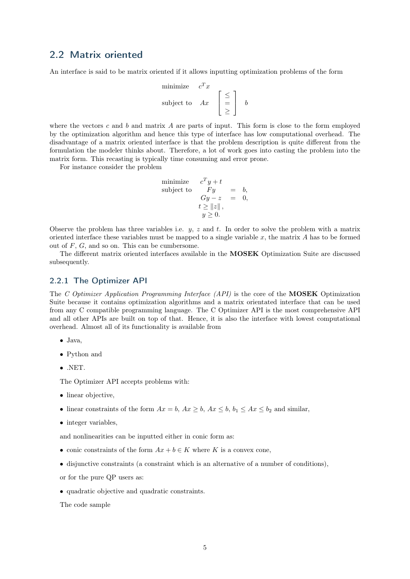#### <span id="page-6-0"></span>2.2 Matrix oriented

An interface is said to be matrix oriented if it allows inputting optimization problems of the form

$$
\begin{array}{ll}\text{minimize} & c^T x\\ \text{subject to} & Ax \end{array} \begin{bmatrix} \leq \\ = \\ \geq \end{bmatrix} b
$$

where the vectors  $c$  and  $b$  and matrix  $A$  are parts of input. This form is close to the form employed by the optimization algorithm and hence this type of interface has low computational overhead. The disadvantage of a matrix oriented interface is that the problem description is quite different from the formulation the modeler thinks about. Therefore, a lot of work goes into casting the problem into the matrix form. This recasting is typically time consuming and error prone.

For instance consider the problem

minimize 
$$
c^T y + t
$$
  
\nsubject to  $Fy = b$ ,  
\n $Gy - z = 0$ ,  
\n $t \ge ||z||$ ,  
\n $y \ge 0$ .

Observe the problem has three variables i.e.  $y, z$  and t. In order to solve the problem with a matrix oriented interface these variables must be mapped to a single variable  $x$ , the matrix  $A$  has to be formed out of  $F$ ,  $G$ , and so on. This can be cumbersome.

The different matrix oriented interfaces available in the MOSEK Optimization Suite are discussed subsequently.

#### <span id="page-6-1"></span>2.2.1 The Optimizer API

The C Optimizer Application Programming Interface (API) is the core of the MOSEK Optimization Suite because it contains optimization algorithms and a matrix orientated interface that can be used from any C compatible programming language. The C Optimizer API is the most comprehensive API and all other APIs are built on top of that. Hence, it is also the interface with lowest computational overhead. Almost all of its functionality is available from

- Java,
- Python and
- .NET.

The Optimizer API accepts problems with:

- linear objective,
- linear constraints of the form  $Ax = b$ ,  $Ax \geq b$ ,  $Ax \leq b$ ,  $b_1 \leq Ax \leq b_2$  and similar,
- integer variables.

and nonlinearities can be inputted either in conic form as:

- conic constraints of the form  $Ax + b \in K$  where K is a convex cone,
- disjunctive constraints (a constraint which is an alternative of a number of conditions),
- or for the pure QP users as:
- quadratic objective and quadratic constraints.

The code sample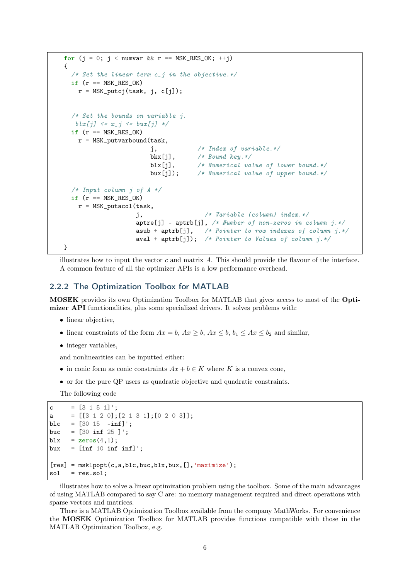```
for (j = 0; j < numvar && r == MSK_RES_OK; ++j)
{
  /* Set the linear term c_j in the objective. */
  if (r == MSK\_RES_OK)r = \text{MSK}_putcj(task, j, c[j]);/* Set the bounds on variable i.
   blx[j] \leq x_j \leq bux[j] \neqif (r == MSK\_RES_OK)r = \text{MSK}_\text{putvarbound}(\text{task},j, /* Index of variable.*/
                        bkx[i], /* Bound key.*/blx[j], /* Numerical value of lower bound.*/
                        bux[j]); /* Numerical value of upper bound.*/
  /* Input column j of A */
  if (r == MSK\_RES_OK)r = \text{MSK}_\text{putacol}(task,j, /* Variable (column) index.*/
                    aptre[j] - aptrb[j], /* Number of non-zeros in column j.*/
                    asub + aptrb[j], /* Pointer to row indexes of column j.*/aval + aptrb[j]); /* Pointer to Values of column j.*/}
```
illustrates how to input the vector  $c$  and matrix  $A$ . This should provide the flavour of the interface. A common feature of all the optimizer APIs is a low performance overhead.

#### 2.2.2 The Optimization Toolbox for MATLAB

MOSEK provides its own Optimization Toolbox for MATLAB that gives access to most of the Optimizer API functionalities, plus some specialized drivers. It solves problems with:

- linear objective,
- linear constraints of the form  $Ax = b$ ,  $Ax \geq b$ ,  $Ax \leq b$ ,  $b_1 \leq Ax \leq b_2$  and similar,
- integer variables.

and nonlinearities can be inputted either:

- in conic form as conic constraints  $Ax + b \in K$  where K is a convex cone,
- or for the pure QP users as quadratic objective and quadratic constraints.

The following code

```
c = [3 1 5 1]:
a = [[3 1 2 0]; [2 1 3 1]; [0 2 0 3]];
blc = [30 15 - \inf]';
buc = [30 \text{ inf } 25];
blx = zeros(4,1);bux = \left[\inf_1 10 \inf_1 \inf_3\right];
[res] = msklpot(c,a,blc,buc,blx,bux,[], 'maximize');
sol = res.sol;
```
illustrates how to solve a linear optimization problem using the toolbox. Some of the main advantages of using MATLAB compared to say C are: no memory management required and direct operations with sparse vectors and matrices.

There is a MATLAB Optimization Toolbox available from the company MathWorks. For convenience the MOSEK Optimization Toolbox for MATLAB provides functions compatible with those in the MATLAB Optimization Toolbox, e.g.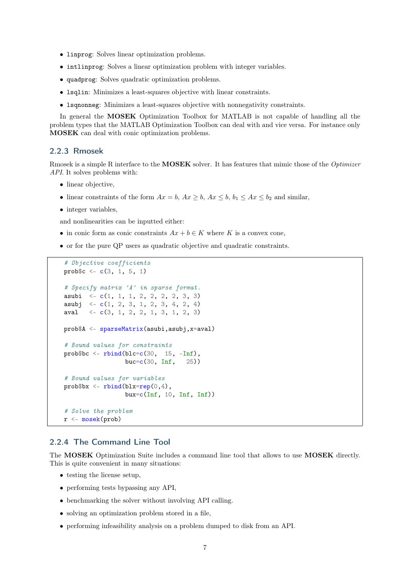- linprog: Solves linear optimization problems.
- intlinprog: Solves a linear optimization problem with integer variables.
- quadprog: Solves quadratic optimization problems.
- lsqlin: Minimizes a least-squares objective with linear constraints.
- lsqnonneg: Minimizes a least-squares objective with nonnegativity constraints.

In general the **MOSEK** Optimization Toolbox for MATLAB is not capable of handling all the problem types that the MATLAB Optimization Toolbox can deal with and vice versa. For instance only MOSEK can deal with conic optimization problems.

#### 2.2.3 Rmosek

Rmosek is a simple R interface to the MOSEK solver. It has features that mimic those of the Optimizer API. It solves problems with:

- linear objective,
- linear constraints of the form  $Ax = b$ ,  $Ax \geq b$ ,  $Ax \leq b$ ,  $b_1 \leq Ax \leq b_2$  and similar,
- integer variables,

and nonlinearities can be inputted either:

- in conic form as conic constraints  $Ax + b \in K$  where K is a convex cone,
- or for the pure QP users as quadratic objective and quadratic constraints.

```
# Objective coefficients
probc \leftarrow c(3, 1, 5, 1)# Specify matrix 'A' in sparse format.
asubi \leq c(1, 1, 1, 2, 2, 2, 2, 3, 3)asubj \langle -c(1, 2, 3, 1, 2, 3, 4, 2, 4)aval \langle -c(3, 1, 2, 2, 1, 3, 1, 2, 3)prob$A <- sparseMatrix(asubi,asubj,x=aval)
# Bound values for constraints
probb < - rbind(blc=c(30, 15, -Inf),
                 buc=c(30, Inf, 25))
# Bound values for variables
prob$bx \leftarrow rbind(blx=rep(0,4),bux=c(Inf, 10, Inf, Inf))# Solve the problem
r <- mosek(prob)
```
#### 2.2.4 The Command Line Tool

The MOSEK Optimization Suite includes a command line tool that allows to use MOSEK directly. This is quite convenient in many situations:

- testing the license setup,
- performing tests bypassing any API,
- benchmarking the solver without involving API calling.
- solving an optimization problem stored in a file,
- performing infeasibility analysis on a problem dumped to disk from an API.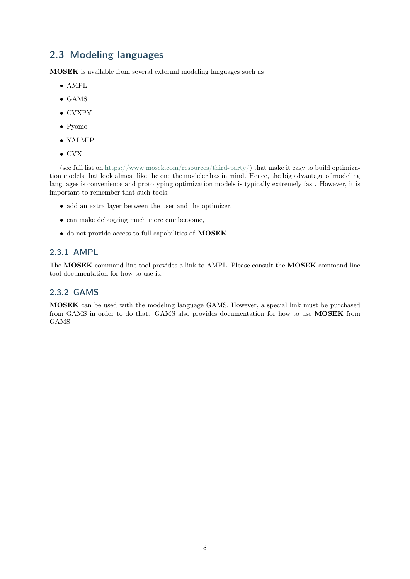#### <span id="page-9-0"></span>2.3 Modeling languages

MOSEK is available from several external modeling languages such as

- AMPL
- GAMS
- CVXPY
- Pyomo
- YALMIP
- CVX

(see full list on [https://www.mosek.com/resources/third-party/\)](https://www.mosek.com/resources/third-party/) that make it easy to build optimization models that look almost like the one the modeler has in mind. Hence, the big advantage of modeling languages is convenience and prototyping optimization models is typically extremely fast. However, it is important to remember that such tools:

- add an extra layer between the user and the optimizer,
- can make debugging much more cumbersome,
- do not provide access to full capabilities of MOSEK.

#### 2.3.1 AMPL

The MOSEK command line tool provides a link to AMPL. Please consult the MOSEK command line tool documentation for how to use it.

#### 2.3.2 GAMS

MOSEK can be used with the modeling language GAMS. However, a special link must be purchased from GAMS in order to do that. GAMS also provides documentation for how to use MOSEK from GAMS.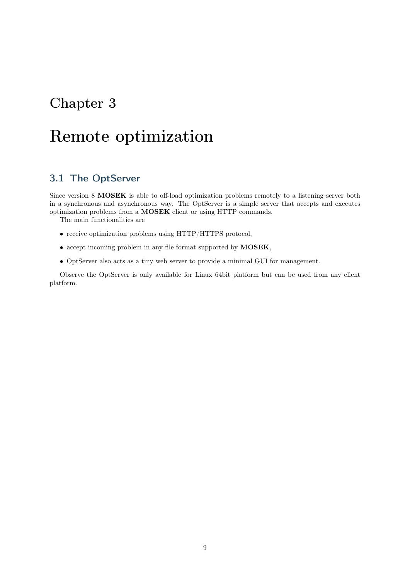## <span id="page-10-0"></span>Remote optimization

#### <span id="page-10-1"></span>3.1 The OptServer

Since version 8 **MOSEK** is able to off-load optimization problems remotely to a listening server both in a synchronous and asynchronous way. The OptServer is a simple server that accepts and executes optimization problems from a MOSEK client or using HTTP commands.

The main functionalities are

- receive optimization problems using HTTP/HTTPS protocol,
- accept incoming problem in any file format supported by MOSEK,
- OptServer also acts as a tiny web server to provide a minimal GUI for management.

Observe the OptServer is only available for Linux 64bit platform but can be used from any client platform.